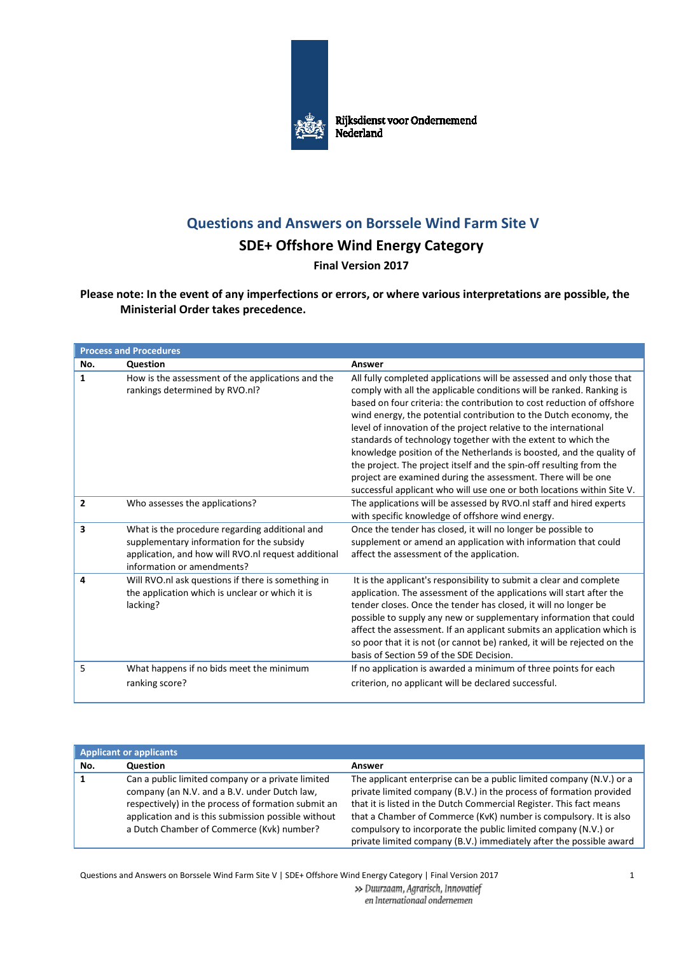

## **Questions and Answers on Borssele Wind Farm Site V**

## **SDE+ Offshore Wind Energy Category**

**Final Version 2017** 

**Please note: In the event of any imperfections or errors, or where various interpretations are possible, the Ministerial Order takes precedence.**

| <b>Process and Procedures</b> |                                                                                                                                                                                  |                                                                                                                                                                                                                                                                                                                                                                                                                                                                                                                                                                                                                                                                                                                             |
|-------------------------------|----------------------------------------------------------------------------------------------------------------------------------------------------------------------------------|-----------------------------------------------------------------------------------------------------------------------------------------------------------------------------------------------------------------------------------------------------------------------------------------------------------------------------------------------------------------------------------------------------------------------------------------------------------------------------------------------------------------------------------------------------------------------------------------------------------------------------------------------------------------------------------------------------------------------------|
| No.                           | Question                                                                                                                                                                         | Answer                                                                                                                                                                                                                                                                                                                                                                                                                                                                                                                                                                                                                                                                                                                      |
| 1                             | How is the assessment of the applications and the<br>rankings determined by RVO.nl?                                                                                              | All fully completed applications will be assessed and only those that<br>comply with all the applicable conditions will be ranked. Ranking is<br>based on four criteria: the contribution to cost reduction of offshore<br>wind energy, the potential contribution to the Dutch economy, the<br>level of innovation of the project relative to the international<br>standards of technology together with the extent to which the<br>knowledge position of the Netherlands is boosted, and the quality of<br>the project. The project itself and the spin-off resulting from the<br>project are examined during the assessment. There will be one<br>successful applicant who will use one or both locations within Site V. |
| $\overline{2}$                | Who assesses the applications?                                                                                                                                                   | The applications will be assessed by RVO.nl staff and hired experts<br>with specific knowledge of offshore wind energy.                                                                                                                                                                                                                                                                                                                                                                                                                                                                                                                                                                                                     |
| 3                             | What is the procedure regarding additional and<br>supplementary information for the subsidy<br>application, and how will RVO.nl request additional<br>information or amendments? | Once the tender has closed, it will no longer be possible to<br>supplement or amend an application with information that could<br>affect the assessment of the application.                                                                                                                                                                                                                                                                                                                                                                                                                                                                                                                                                 |
| 4                             | Will RVO.nl ask questions if there is something in<br>the application which is unclear or which it is<br>lacking?                                                                | It is the applicant's responsibility to submit a clear and complete<br>application. The assessment of the applications will start after the<br>tender closes. Once the tender has closed, it will no longer be<br>possible to supply any new or supplementary information that could<br>affect the assessment. If an applicant submits an application which is<br>so poor that it is not (or cannot be) ranked, it will be rejected on the<br>basis of Section 59 of the SDE Decision.                                                                                                                                                                                                                                      |
| 5                             | What happens if no bids meet the minimum<br>ranking score?                                                                                                                       | If no application is awarded a minimum of three points for each<br>criterion, no applicant will be declared successful.                                                                                                                                                                                                                                                                                                                                                                                                                                                                                                                                                                                                     |

| <b>Applicant or applicants</b> |                                                                                                                                                                                                                                                              |                                                                                                                                                                                                                                                                                                                                                                                                                                  |
|--------------------------------|--------------------------------------------------------------------------------------------------------------------------------------------------------------------------------------------------------------------------------------------------------------|----------------------------------------------------------------------------------------------------------------------------------------------------------------------------------------------------------------------------------------------------------------------------------------------------------------------------------------------------------------------------------------------------------------------------------|
| No.                            | <b>Question</b>                                                                                                                                                                                                                                              | Answer                                                                                                                                                                                                                                                                                                                                                                                                                           |
|                                | Can a public limited company or a private limited<br>company (an N.V. and a B.V. under Dutch law,<br>respectively) in the process of formation submit an<br>application and is this submission possible without<br>a Dutch Chamber of Commerce (Kvk) number? | The applicant enterprise can be a public limited company (N.V.) or a<br>private limited company (B.V.) in the process of formation provided<br>that it is listed in the Dutch Commercial Register. This fact means<br>that a Chamber of Commerce (KvK) number is compulsory. It is also<br>compulsory to incorporate the public limited company (N.V.) or<br>private limited company (B.V.) immediately after the possible award |

Questions and Answers on Borssele Wind Farm Site V | SDE+ Offshore Wind Energy Category | Final Version 2017 1

>> Duurzaam, Agrarisch, Innovatief

en Internationaal ondernemen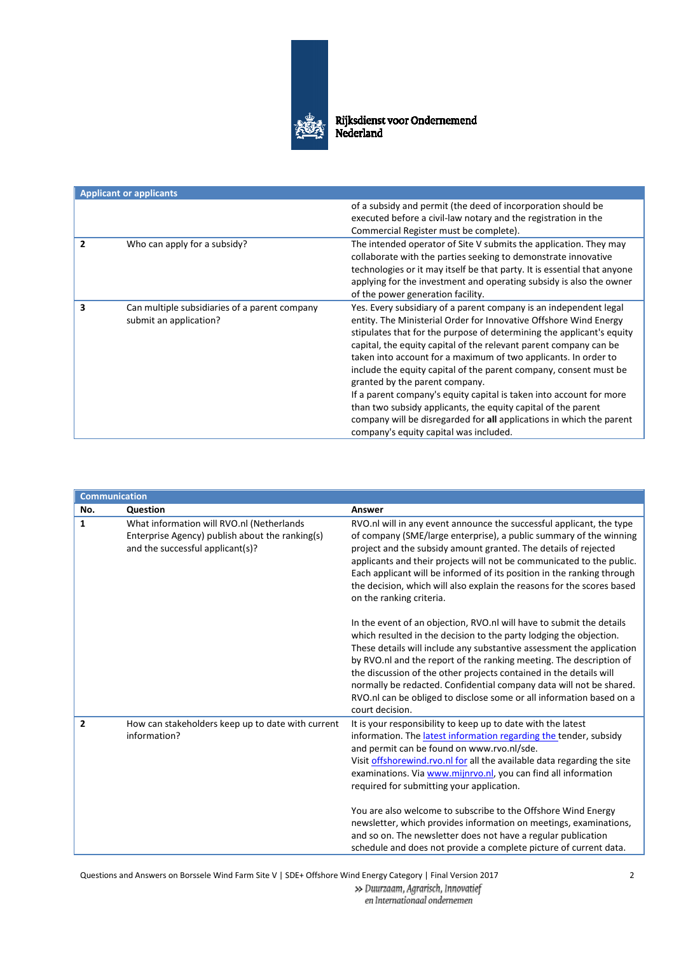

| <b>Applicant or applicants</b>                                          |                                                                                                                                                                                                                                                                                                                                                                                                                                                                                                                                                                                                                                                                                                                          |  |
|-------------------------------------------------------------------------|--------------------------------------------------------------------------------------------------------------------------------------------------------------------------------------------------------------------------------------------------------------------------------------------------------------------------------------------------------------------------------------------------------------------------------------------------------------------------------------------------------------------------------------------------------------------------------------------------------------------------------------------------------------------------------------------------------------------------|--|
|                                                                         | of a subsidy and permit (the deed of incorporation should be<br>executed before a civil-law notary and the registration in the<br>Commercial Register must be complete).                                                                                                                                                                                                                                                                                                                                                                                                                                                                                                                                                 |  |
| Who can apply for a subsidy?                                            | The intended operator of Site V submits the application. They may<br>collaborate with the parties seeking to demonstrate innovative<br>technologies or it may itself be that party. It is essential that anyone<br>applying for the investment and operating subsidy is also the owner<br>of the power generation facility.                                                                                                                                                                                                                                                                                                                                                                                              |  |
| Can multiple subsidiaries of a parent company<br>submit an application? | Yes. Every subsidiary of a parent company is an independent legal<br>entity. The Ministerial Order for Innovative Offshore Wind Energy<br>stipulates that for the purpose of determining the applicant's equity<br>capital, the equity capital of the relevant parent company can be<br>taken into account for a maximum of two applicants. In order to<br>include the equity capital of the parent company, consent must be<br>granted by the parent company.<br>If a parent company's equity capital is taken into account for more<br>than two subsidy applicants, the equity capital of the parent<br>company will be disregarded for all applications in which the parent<br>company's equity capital was included. |  |

|                | <b>Communication</b>                                                                                                             |                                                                                                                                                                                                                                                                                                                                                                                                                                                                                                                                    |  |
|----------------|----------------------------------------------------------------------------------------------------------------------------------|------------------------------------------------------------------------------------------------------------------------------------------------------------------------------------------------------------------------------------------------------------------------------------------------------------------------------------------------------------------------------------------------------------------------------------------------------------------------------------------------------------------------------------|--|
| No.            | Question                                                                                                                         | Answer                                                                                                                                                                                                                                                                                                                                                                                                                                                                                                                             |  |
| 1              | What information will RVO.nl (Netherlands<br>Enterprise Agency) publish about the ranking(s)<br>and the successful applicant(s)? | RVO.nl will in any event announce the successful applicant, the type<br>of company (SME/large enterprise), a public summary of the winning<br>project and the subsidy amount granted. The details of rejected<br>applicants and their projects will not be communicated to the public.<br>Each applicant will be informed of its position in the ranking through<br>the decision, which will also explain the reasons for the scores based<br>on the ranking criteria.                                                             |  |
|                |                                                                                                                                  | In the event of an objection, RVO.nl will have to submit the details<br>which resulted in the decision to the party lodging the objection.<br>These details will include any substantive assessment the application<br>by RVO.nl and the report of the ranking meeting. The description of<br>the discussion of the other projects contained in the details will<br>normally be redacted. Confidential company data will not be shared.<br>RVO.nl can be obliged to disclose some or all information based on a<br>court decision. |  |
| $\overline{2}$ | How can stakeholders keep up to date with current<br>information?                                                                | It is your responsibility to keep up to date with the latest<br>information. The latest information regarding the tender, subsidy<br>and permit can be found on www.rvo.nl/sde.<br>Visit offshorewind.rvo.nl for all the available data regarding the site<br>examinations. Via www.mijnrvo.nl, you can find all information<br>required for submitting your application.<br>You are also welcome to subscribe to the Offshore Wind Energy<br>newsletter, which provides information on meetings, examinations,                    |  |
|                |                                                                                                                                  | and so on. The newsletter does not have a regular publication<br>schedule and does not provide a complete picture of current data.                                                                                                                                                                                                                                                                                                                                                                                                 |  |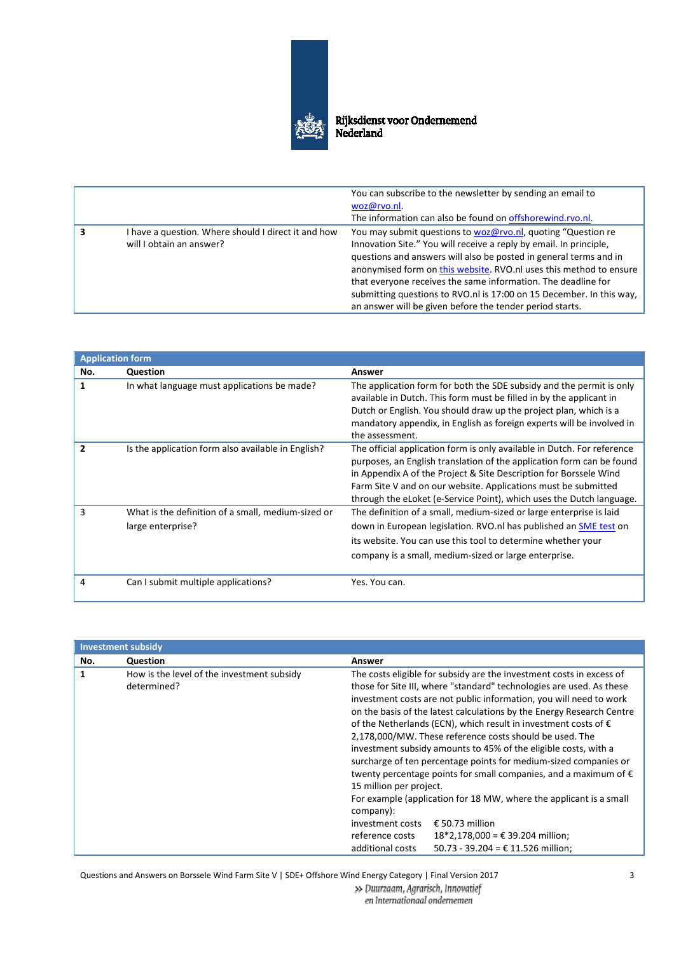

|   |                                                                                 | You can subscribe to the newsletter by sending an email to<br>woz@rvo.nl.<br>The information can also be found on offshorewind.rvo.nl.                                                                                                                                                                                                                                                                                                                                             |
|---|---------------------------------------------------------------------------------|------------------------------------------------------------------------------------------------------------------------------------------------------------------------------------------------------------------------------------------------------------------------------------------------------------------------------------------------------------------------------------------------------------------------------------------------------------------------------------|
| 3 | I have a question. Where should I direct it and how<br>will I obtain an answer? | You may submit questions to woz@rvo.nl, quoting "Question re<br>Innovation Site." You will receive a reply by email. In principle,<br>questions and answers will also be posted in general terms and in<br>anonymised form on this website. RVO.nl uses this method to ensure<br>that everyone receives the same information. The deadline for<br>submitting questions to RVO.nl is 17:00 on 15 December. In this way,<br>an answer will be given before the tender period starts. |

| <b>Application form</b> |                                                                         |                                                                                                                                                                                                                                                                                                                                                                 |
|-------------------------|-------------------------------------------------------------------------|-----------------------------------------------------------------------------------------------------------------------------------------------------------------------------------------------------------------------------------------------------------------------------------------------------------------------------------------------------------------|
| No.                     | Question                                                                | Answer                                                                                                                                                                                                                                                                                                                                                          |
|                         | In what language must applications be made?                             | The application form for both the SDE subsidy and the permit is only<br>available in Dutch. This form must be filled in by the applicant in<br>Dutch or English. You should draw up the project plan, which is a<br>mandatory appendix, in English as foreign experts will be involved in<br>the assessment.                                                    |
|                         | Is the application form also available in English?                      | The official application form is only available in Dutch. For reference<br>purposes, an English translation of the application form can be found<br>in Appendix A of the Project & Site Description for Borssele Wind<br>Farm Site V and on our website. Applications must be submitted<br>through the eLoket (e-Service Point), which uses the Dutch language. |
| 3                       | What is the definition of a small, medium-sized or<br>large enterprise? | The definition of a small, medium-sized or large enterprise is laid<br>down in European legislation. RVO.nl has published an SME test on<br>its website. You can use this tool to determine whether your<br>company is a small, medium-sized or large enterprise.                                                                                               |
| 4                       | Can I submit multiple applications?                                     | Yes. You can.                                                                                                                                                                                                                                                                                                                                                   |

| <b>Investment subsidy</b> |                                                           |                                                                                                                                                                                                                                                                                                                                                                                                                                                                                                                                                                                                                                                                                                                                                                                                                                                                                                                                 |
|---------------------------|-----------------------------------------------------------|---------------------------------------------------------------------------------------------------------------------------------------------------------------------------------------------------------------------------------------------------------------------------------------------------------------------------------------------------------------------------------------------------------------------------------------------------------------------------------------------------------------------------------------------------------------------------------------------------------------------------------------------------------------------------------------------------------------------------------------------------------------------------------------------------------------------------------------------------------------------------------------------------------------------------------|
| No.                       | Question                                                  | Answer                                                                                                                                                                                                                                                                                                                                                                                                                                                                                                                                                                                                                                                                                                                                                                                                                                                                                                                          |
| 1                         | How is the level of the investment subsidy<br>determined? | The costs eligible for subsidy are the investment costs in excess of<br>those for Site III, where "standard" technologies are used. As these<br>investment costs are not public information, you will need to work<br>on the basis of the latest calculations by the Energy Research Centre<br>of the Netherlands (ECN), which result in investment costs of $\epsilon$<br>2,178,000/MW. These reference costs should be used. The<br>investment subsidy amounts to 45% of the eligible costs, with a<br>surcharge of ten percentage points for medium-sized companies or<br>twenty percentage points for small companies, and a maximum of $\epsilon$<br>15 million per project.<br>For example (application for 18 MW, where the applicant is a small<br>company):<br>€ 50.73 million<br>investment costs<br>reference costs<br>$18*2,178,000 = €39.204$ million;<br>50.73 - 39.204 = $£ 11.526$ million;<br>additional costs |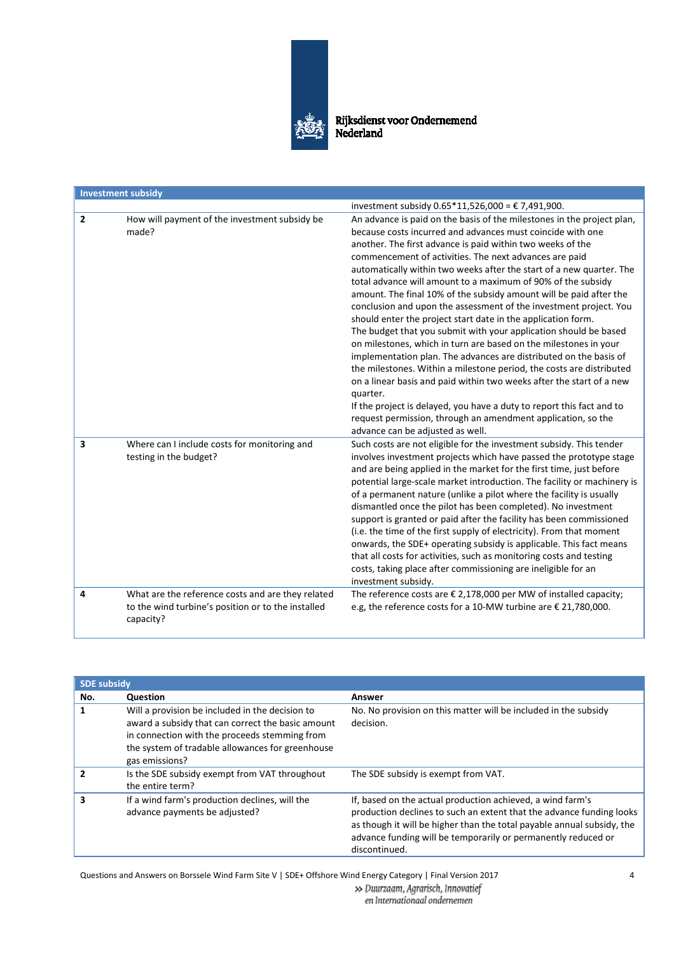

|                | <b>Investment subsidy</b>                                                                                            |                                                                                                                                                                                                                                                                                                                                                                                                                                                                                                                                                                                                                                                                                                                                                                                                                                                                                                                                                                                                                                                                                                                                                                       |
|----------------|----------------------------------------------------------------------------------------------------------------------|-----------------------------------------------------------------------------------------------------------------------------------------------------------------------------------------------------------------------------------------------------------------------------------------------------------------------------------------------------------------------------------------------------------------------------------------------------------------------------------------------------------------------------------------------------------------------------------------------------------------------------------------------------------------------------------------------------------------------------------------------------------------------------------------------------------------------------------------------------------------------------------------------------------------------------------------------------------------------------------------------------------------------------------------------------------------------------------------------------------------------------------------------------------------------|
|                |                                                                                                                      | investment subsidy $0.65*11,526,000 = \text{€ }7,491,900.$                                                                                                                                                                                                                                                                                                                                                                                                                                                                                                                                                                                                                                                                                                                                                                                                                                                                                                                                                                                                                                                                                                            |
| $\overline{2}$ | How will payment of the investment subsidy be<br>made?                                                               | An advance is paid on the basis of the milestones in the project plan,<br>because costs incurred and advances must coincide with one<br>another. The first advance is paid within two weeks of the<br>commencement of activities. The next advances are paid<br>automatically within two weeks after the start of a new quarter. The<br>total advance will amount to a maximum of 90% of the subsidy<br>amount. The final 10% of the subsidy amount will be paid after the<br>conclusion and upon the assessment of the investment project. You<br>should enter the project start date in the application form.<br>The budget that you submit with your application should be based<br>on milestones, which in turn are based on the milestones in your<br>implementation plan. The advances are distributed on the basis of<br>the milestones. Within a milestone period, the costs are distributed<br>on a linear basis and paid within two weeks after the start of a new<br>quarter.<br>If the project is delayed, you have a duty to report this fact and to<br>request permission, through an amendment application, so the<br>advance can be adjusted as well. |
| 3              | Where can I include costs for monitoring and<br>testing in the budget?                                               | Such costs are not eligible for the investment subsidy. This tender<br>involves investment projects which have passed the prototype stage<br>and are being applied in the market for the first time, just before<br>potential large-scale market introduction. The facility or machinery is<br>of a permanent nature (unlike a pilot where the facility is usually<br>dismantled once the pilot has been completed). No investment<br>support is granted or paid after the facility has been commissioned<br>(i.e. the time of the first supply of electricity). From that moment<br>onwards, the SDE+ operating subsidy is applicable. This fact means<br>that all costs for activities, such as monitoring costs and testing<br>costs, taking place after commissioning are ineligible for an<br>investment subsidy.                                                                                                                                                                                                                                                                                                                                                |
| 4              | What are the reference costs and are they related<br>to the wind turbine's position or to the installed<br>capacity? | The reference costs are $\epsilon$ 2,178,000 per MW of installed capacity;<br>e.g, the reference costs for a 10-MW turbine are € 21,780,000.                                                                                                                                                                                                                                                                                                                                                                                                                                                                                                                                                                                                                                                                                                                                                                                                                                                                                                                                                                                                                          |

| <b>SDE subsidy</b> |                                                                                                                                                                                                                             |                                                                                                                                                                                                                                                                                                |
|--------------------|-----------------------------------------------------------------------------------------------------------------------------------------------------------------------------------------------------------------------------|------------------------------------------------------------------------------------------------------------------------------------------------------------------------------------------------------------------------------------------------------------------------------------------------|
| No.                | <b>Question</b>                                                                                                                                                                                                             | Answer                                                                                                                                                                                                                                                                                         |
|                    | Will a provision be included in the decision to<br>award a subsidy that can correct the basic amount<br>in connection with the proceeds stemming from<br>the system of tradable allowances for greenhouse<br>gas emissions? | No. No provision on this matter will be included in the subsidy<br>decision.                                                                                                                                                                                                                   |
|                    | Is the SDE subsidy exempt from VAT throughout<br>the entire term?                                                                                                                                                           | The SDE subsidy is exempt from VAT.                                                                                                                                                                                                                                                            |
|                    | If a wind farm's production declines, will the<br>advance payments be adjusted?                                                                                                                                             | If, based on the actual production achieved, a wind farm's<br>production declines to such an extent that the advance funding looks<br>as though it will be higher than the total payable annual subsidy, the<br>advance funding will be temporarily or permanently reduced or<br>discontinued. |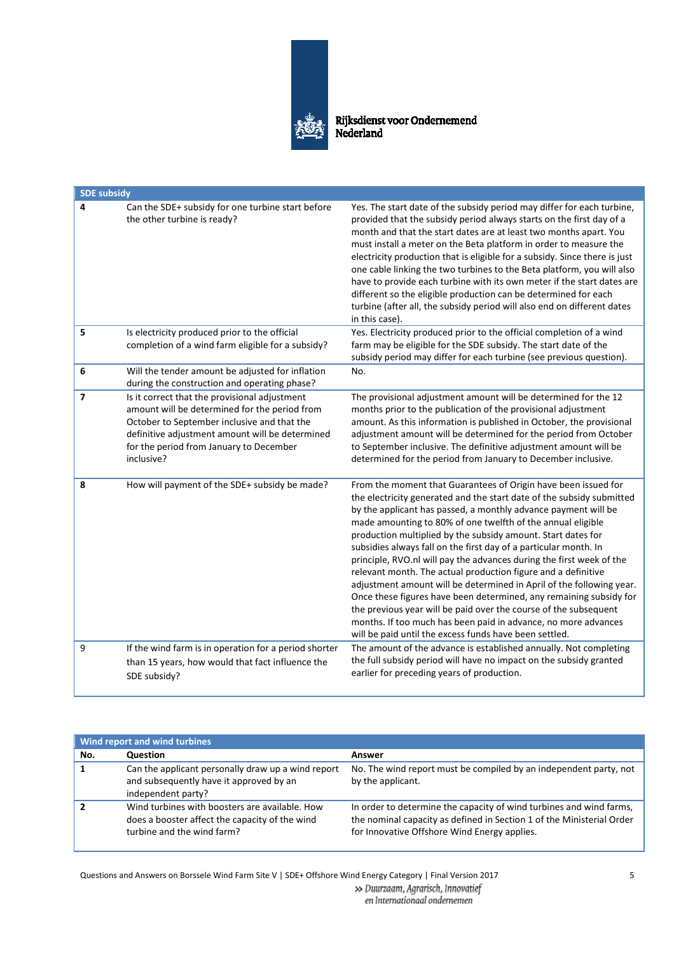

| <b>SDE subsidy</b> |                                                                                                                                                                                                                                                           |                                                                                                                                                                                                                                                                                                                                                                                                                                                                                                                                                                                                                                                                                                                                                                                                                                                                                                     |  |
|--------------------|-----------------------------------------------------------------------------------------------------------------------------------------------------------------------------------------------------------------------------------------------------------|-----------------------------------------------------------------------------------------------------------------------------------------------------------------------------------------------------------------------------------------------------------------------------------------------------------------------------------------------------------------------------------------------------------------------------------------------------------------------------------------------------------------------------------------------------------------------------------------------------------------------------------------------------------------------------------------------------------------------------------------------------------------------------------------------------------------------------------------------------------------------------------------------------|--|
| 4                  | Can the SDE+ subsidy for one turbine start before<br>the other turbine is ready?                                                                                                                                                                          | Yes. The start date of the subsidy period may differ for each turbine,<br>provided that the subsidy period always starts on the first day of a<br>month and that the start dates are at least two months apart. You<br>must install a meter on the Beta platform in order to measure the<br>electricity production that is eligible for a subsidy. Since there is just<br>one cable linking the two turbines to the Beta platform, you will also<br>have to provide each turbine with its own meter if the start dates are<br>different so the eligible production can be determined for each<br>turbine (after all, the subsidy period will also end on different dates<br>in this case).                                                                                                                                                                                                          |  |
| 5                  | Is electricity produced prior to the official<br>completion of a wind farm eligible for a subsidy?                                                                                                                                                        | Yes. Electricity produced prior to the official completion of a wind<br>farm may be eligible for the SDE subsidy. The start date of the<br>subsidy period may differ for each turbine (see previous question).                                                                                                                                                                                                                                                                                                                                                                                                                                                                                                                                                                                                                                                                                      |  |
| 6                  | Will the tender amount be adjusted for inflation<br>during the construction and operating phase?                                                                                                                                                          | No.                                                                                                                                                                                                                                                                                                                                                                                                                                                                                                                                                                                                                                                                                                                                                                                                                                                                                                 |  |
| 7                  | Is it correct that the provisional adjustment<br>amount will be determined for the period from<br>October to September inclusive and that the<br>definitive adjustment amount will be determined<br>for the period from January to December<br>inclusive? | The provisional adjustment amount will be determined for the 12<br>months prior to the publication of the provisional adjustment<br>amount. As this information is published in October, the provisional<br>adjustment amount will be determined for the period from October<br>to September inclusive. The definitive adjustment amount will be<br>determined for the period from January to December inclusive.                                                                                                                                                                                                                                                                                                                                                                                                                                                                                   |  |
| 8                  | How will payment of the SDE+ subsidy be made?                                                                                                                                                                                                             | From the moment that Guarantees of Origin have been issued for<br>the electricity generated and the start date of the subsidy submitted<br>by the applicant has passed, a monthly advance payment will be<br>made amounting to 80% of one twelfth of the annual eligible<br>production multiplied by the subsidy amount. Start dates for<br>subsidies always fall on the first day of a particular month. In<br>principle, RVO.nl will pay the advances during the first week of the<br>relevant month. The actual production figure and a definitive<br>adjustment amount will be determined in April of the following year.<br>Once these figures have been determined, any remaining subsidy for<br>the previous year will be paid over the course of the subsequent<br>months. If too much has been paid in advance, no more advances<br>will be paid until the excess funds have been settled. |  |
| 9                  | If the wind farm is in operation for a period shorter<br>than 15 years, how would that fact influence the<br>SDE subsidy?                                                                                                                                 | The amount of the advance is established annually. Not completing<br>the full subsidy period will have no impact on the subsidy granted<br>earlier for preceding years of production.                                                                                                                                                                                                                                                                                                                                                                                                                                                                                                                                                                                                                                                                                                               |  |

| Wind report and wind turbines |                                                                                                                                |                                                                                                                                                                                              |
|-------------------------------|--------------------------------------------------------------------------------------------------------------------------------|----------------------------------------------------------------------------------------------------------------------------------------------------------------------------------------------|
| No.                           | <b>Question</b>                                                                                                                | Answer                                                                                                                                                                                       |
|                               | Can the applicant personally draw up a wind report<br>and subsequently have it approved by an<br>independent party?            | No. The wind report must be compiled by an independent party, not<br>by the applicant.                                                                                                       |
|                               | Wind turbines with boosters are available. How<br>does a booster affect the capacity of the wind<br>turbine and the wind farm? | In order to determine the capacity of wind turbines and wind farms,<br>the nominal capacity as defined in Section 1 of the Ministerial Order<br>for Innovative Offshore Wind Energy applies. |

Questions and Answers on Borssele Wind Farm Site V | SDE+ Offshore Wind Energy Category | Final Version 2017

» Duurzaam, Agrarisch, Innovatief en Internationaal ondernemen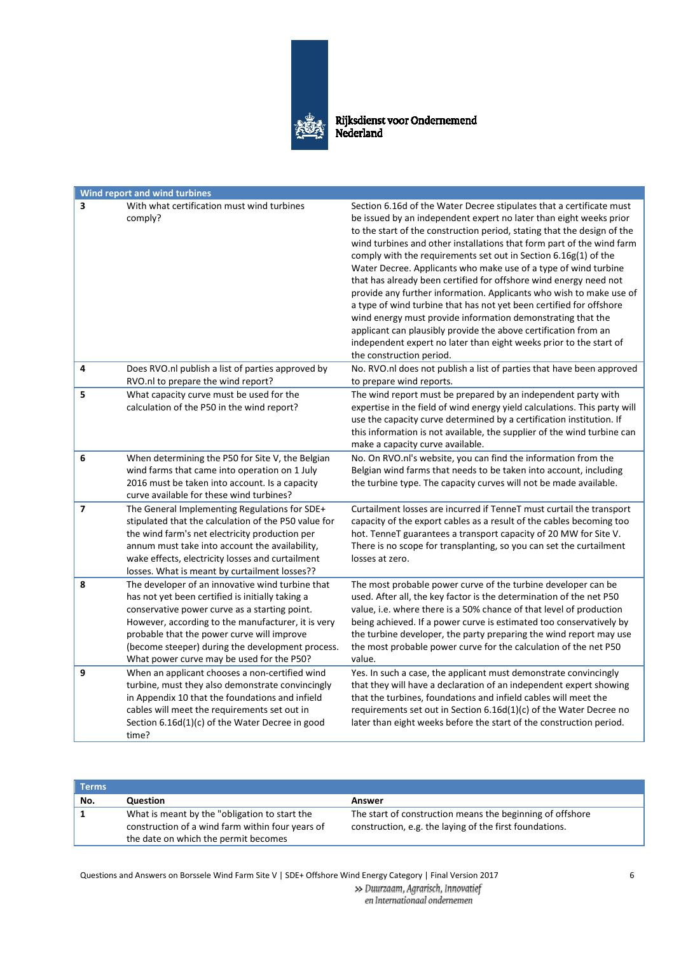

|   | <b>Wind report and wind turbines</b>                                                                                                                                                                                                                                                                                                                       |                                                                                                                                                                                                                                                                                                                                                                                                                                                                                                                                                                                                                                                                                                                                                                                                                                                                                             |
|---|------------------------------------------------------------------------------------------------------------------------------------------------------------------------------------------------------------------------------------------------------------------------------------------------------------------------------------------------------------|---------------------------------------------------------------------------------------------------------------------------------------------------------------------------------------------------------------------------------------------------------------------------------------------------------------------------------------------------------------------------------------------------------------------------------------------------------------------------------------------------------------------------------------------------------------------------------------------------------------------------------------------------------------------------------------------------------------------------------------------------------------------------------------------------------------------------------------------------------------------------------------------|
| 3 | With what certification must wind turbines<br>comply?                                                                                                                                                                                                                                                                                                      | Section 6.16d of the Water Decree stipulates that a certificate must<br>be issued by an independent expert no later than eight weeks prior<br>to the start of the construction period, stating that the design of the<br>wind turbines and other installations that form part of the wind farm<br>comply with the requirements set out in Section 6.16g(1) of the<br>Water Decree. Applicants who make use of a type of wind turbine<br>that has already been certified for offshore wind energy need not<br>provide any further information. Applicants who wish to make use of<br>a type of wind turbine that has not yet been certified for offshore<br>wind energy must provide information demonstrating that the<br>applicant can plausibly provide the above certification from an<br>independent expert no later than eight weeks prior to the start of<br>the construction period. |
| 4 | Does RVO.nl publish a list of parties approved by<br>RVO.nl to prepare the wind report?                                                                                                                                                                                                                                                                    | No. RVO.nl does not publish a list of parties that have been approved<br>to prepare wind reports.                                                                                                                                                                                                                                                                                                                                                                                                                                                                                                                                                                                                                                                                                                                                                                                           |
| 5 | What capacity curve must be used for the<br>calculation of the P50 in the wind report?                                                                                                                                                                                                                                                                     | The wind report must be prepared by an independent party with<br>expertise in the field of wind energy yield calculations. This party will<br>use the capacity curve determined by a certification institution. If<br>this information is not available, the supplier of the wind turbine can<br>make a capacity curve available.                                                                                                                                                                                                                                                                                                                                                                                                                                                                                                                                                           |
| 6 | When determining the P50 for Site V, the Belgian<br>wind farms that came into operation on 1 July<br>2016 must be taken into account. Is a capacity<br>curve available for these wind turbines?                                                                                                                                                            | No. On RVO.nl's website, you can find the information from the<br>Belgian wind farms that needs to be taken into account, including<br>the turbine type. The capacity curves will not be made available.                                                                                                                                                                                                                                                                                                                                                                                                                                                                                                                                                                                                                                                                                    |
| 7 | The General Implementing Regulations for SDE+<br>stipulated that the calculation of the P50 value for<br>the wind farm's net electricity production per<br>annum must take into account the availability,<br>wake effects, electricity losses and curtailment<br>losses. What is meant by curtailment losses??                                             | Curtailment losses are incurred if TenneT must curtail the transport<br>capacity of the export cables as a result of the cables becoming too<br>hot. TenneT guarantees a transport capacity of 20 MW for Site V.<br>There is no scope for transplanting, so you can set the curtailment<br>losses at zero.                                                                                                                                                                                                                                                                                                                                                                                                                                                                                                                                                                                  |
| 8 | The developer of an innovative wind turbine that<br>has not yet been certified is initially taking a<br>conservative power curve as a starting point.<br>However, according to the manufacturer, it is very<br>probable that the power curve will improve<br>(become steeper) during the development process.<br>What power curve may be used for the P50? | The most probable power curve of the turbine developer can be<br>used. After all, the key factor is the determination of the net P50<br>value, i.e. where there is a 50% chance of that level of production<br>being achieved. If a power curve is estimated too conservatively by<br>the turbine developer, the party preparing the wind report may use<br>the most probable power curve for the calculation of the net P50<br>value.                                                                                                                                                                                                                                                                                                                                                                                                                                                      |
| 9 | When an applicant chooses a non-certified wind<br>turbine, must they also demonstrate convincingly<br>in Appendix 10 that the foundations and infield<br>cables will meet the requirements set out in<br>Section 6.16d(1)(c) of the Water Decree in good<br>time?                                                                                          | Yes. In such a case, the applicant must demonstrate convincingly<br>that they will have a declaration of an independent expert showing<br>that the turbines, foundations and infield cables will meet the<br>requirements set out in Section $6.16d(1)(c)$ of the Water Decree no<br>later than eight weeks before the start of the construction period.                                                                                                                                                                                                                                                                                                                                                                                                                                                                                                                                    |

| Terms |                                                                                                                                           |                                                                                                                      |
|-------|-------------------------------------------------------------------------------------------------------------------------------------------|----------------------------------------------------------------------------------------------------------------------|
| No.   | Question                                                                                                                                  | Answer                                                                                                               |
|       | What is meant by the "obligation to start the<br>construction of a wind farm within four years of<br>the date on which the permit becomes | The start of construction means the beginning of offshore<br>construction, e.g. the laying of the first foundations. |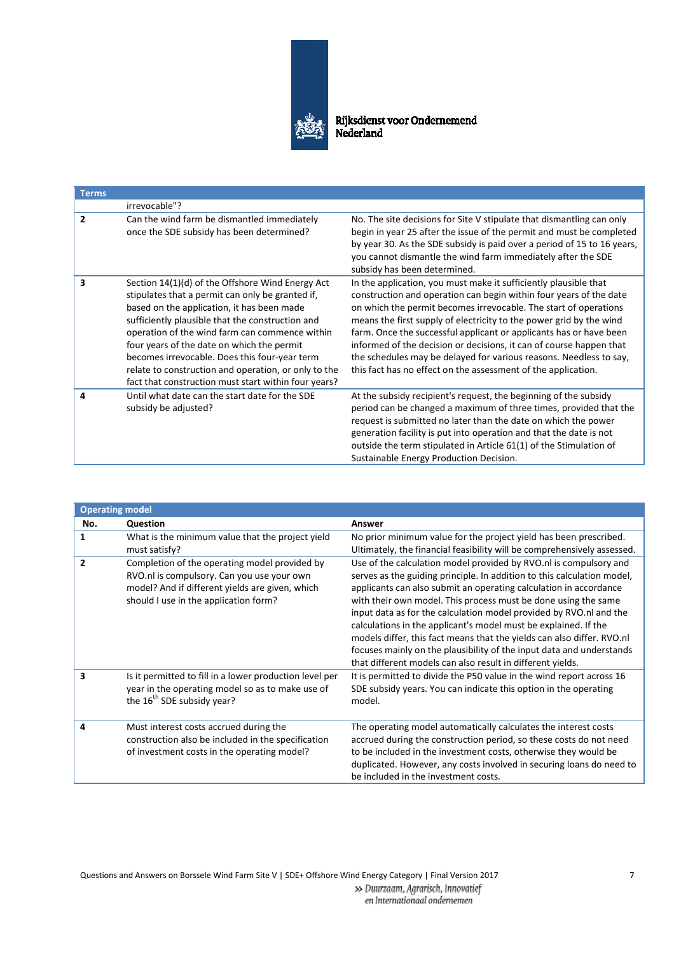

| <b>Terms</b>   |                                                                                                                                                                                                                                                                                                                                                                                                                                                                         |                                                                                                                                                                                                                                                                                                                                                                                                                                                                                                                                                                       |
|----------------|-------------------------------------------------------------------------------------------------------------------------------------------------------------------------------------------------------------------------------------------------------------------------------------------------------------------------------------------------------------------------------------------------------------------------------------------------------------------------|-----------------------------------------------------------------------------------------------------------------------------------------------------------------------------------------------------------------------------------------------------------------------------------------------------------------------------------------------------------------------------------------------------------------------------------------------------------------------------------------------------------------------------------------------------------------------|
|                | irrevocable"?                                                                                                                                                                                                                                                                                                                                                                                                                                                           |                                                                                                                                                                                                                                                                                                                                                                                                                                                                                                                                                                       |
| $\overline{2}$ | Can the wind farm be dismantled immediately<br>once the SDE subsidy has been determined?                                                                                                                                                                                                                                                                                                                                                                                | No. The site decisions for Site V stipulate that dismantling can only<br>begin in year 25 after the issue of the permit and must be completed<br>by year 30. As the SDE subsidy is paid over a period of 15 to 16 years,<br>you cannot dismantle the wind farm immediately after the SDE<br>subsidy has been determined.                                                                                                                                                                                                                                              |
| 3              | Section 14(1)(d) of the Offshore Wind Energy Act<br>stipulates that a permit can only be granted if,<br>based on the application, it has been made<br>sufficiently plausible that the construction and<br>operation of the wind farm can commence within<br>four years of the date on which the permit<br>becomes irrevocable. Does this four-year term<br>relate to construction and operation, or only to the<br>fact that construction must start within four years? | In the application, you must make it sufficiently plausible that<br>construction and operation can begin within four years of the date<br>on which the permit becomes irrevocable. The start of operations<br>means the first supply of electricity to the power grid by the wind<br>farm. Once the successful applicant or applicants has or have been<br>informed of the decision or decisions, it can of course happen that<br>the schedules may be delayed for various reasons. Needless to say,<br>this fact has no effect on the assessment of the application. |
| 4              | Until what date can the start date for the SDE<br>subsidy be adjusted?                                                                                                                                                                                                                                                                                                                                                                                                  | At the subsidy recipient's request, the beginning of the subsidy<br>period can be changed a maximum of three times, provided that the<br>request is submitted no later than the date on which the power<br>generation facility is put into operation and that the date is not<br>outside the term stipulated in Article 61(1) of the Stimulation of<br>Sustainable Energy Production Decision.                                                                                                                                                                        |

| <b>Operating model</b> |                                                                                                                                                                                         |                                                                                                                                                                                                                                                                                                                                                                                                                                                                                                                                                                                                                                              |
|------------------------|-----------------------------------------------------------------------------------------------------------------------------------------------------------------------------------------|----------------------------------------------------------------------------------------------------------------------------------------------------------------------------------------------------------------------------------------------------------------------------------------------------------------------------------------------------------------------------------------------------------------------------------------------------------------------------------------------------------------------------------------------------------------------------------------------------------------------------------------------|
| No.                    | Question                                                                                                                                                                                | Answer                                                                                                                                                                                                                                                                                                                                                                                                                                                                                                                                                                                                                                       |
| 1                      | What is the minimum value that the project yield<br>must satisfy?                                                                                                                       | No prior minimum value for the project yield has been prescribed.<br>Ultimately, the financial feasibility will be comprehensively assessed.                                                                                                                                                                                                                                                                                                                                                                                                                                                                                                 |
| $\overline{2}$         | Completion of the operating model provided by<br>RVO.nl is compulsory. Can you use your own<br>model? And if different yields are given, which<br>should I use in the application form? | Use of the calculation model provided by RVO.nl is compulsory and<br>serves as the guiding principle. In addition to this calculation model,<br>applicants can also submit an operating calculation in accordance<br>with their own model. This process must be done using the same<br>input data as for the calculation model provided by RVO.nl and the<br>calculations in the applicant's model must be explained. If the<br>models differ, this fact means that the yields can also differ. RVO.nl<br>focuses mainly on the plausibility of the input data and understands<br>that different models can also result in different yields. |
| 3                      | Is it permitted to fill in a lower production level per<br>year in the operating model so as to make use of<br>the 16 <sup>th</sup> SDE subsidy year?                                   | It is permitted to divide the P50 value in the wind report across 16<br>SDE subsidy years. You can indicate this option in the operating<br>model.                                                                                                                                                                                                                                                                                                                                                                                                                                                                                           |
| 4                      | Must interest costs accrued during the<br>construction also be included in the specification<br>of investment costs in the operating model?                                             | The operating model automatically calculates the interest costs<br>accrued during the construction period, so these costs do not need<br>to be included in the investment costs, otherwise they would be<br>duplicated. However, any costs involved in securing loans do need to<br>be included in the investment costs.                                                                                                                                                                                                                                                                                                                     |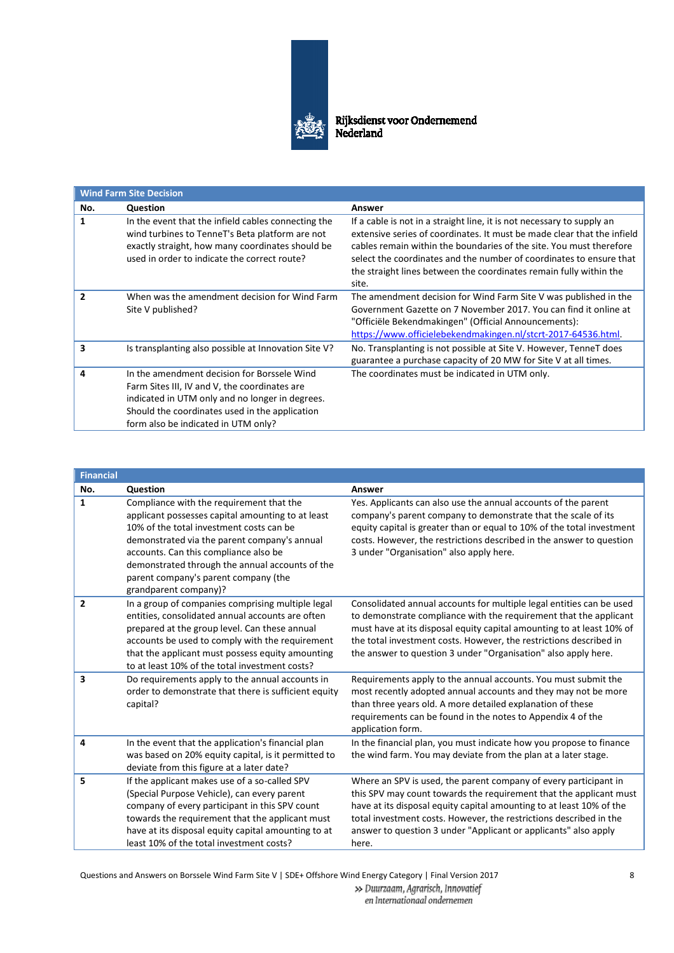

| <b>Wind Farm Site Decision</b> |                                                                                                                                                                                                                                          |                                                                                                                                                                                                                                                                                                                                                                                |
|--------------------------------|------------------------------------------------------------------------------------------------------------------------------------------------------------------------------------------------------------------------------------------|--------------------------------------------------------------------------------------------------------------------------------------------------------------------------------------------------------------------------------------------------------------------------------------------------------------------------------------------------------------------------------|
| No.                            | Question                                                                                                                                                                                                                                 | Answer                                                                                                                                                                                                                                                                                                                                                                         |
| 1                              | In the event that the infield cables connecting the<br>wind turbines to TenneT's Beta platform are not<br>exactly straight, how many coordinates should be<br>used in order to indicate the correct route?                               | If a cable is not in a straight line, it is not necessary to supply an<br>extensive series of coordinates. It must be made clear that the infield<br>cables remain within the boundaries of the site. You must therefore<br>select the coordinates and the number of coordinates to ensure that<br>the straight lines between the coordinates remain fully within the<br>site. |
| $\overline{\phantom{a}}$       | When was the amendment decision for Wind Farm<br>Site V published?                                                                                                                                                                       | The amendment decision for Wind Farm Site V was published in the<br>Government Gazette on 7 November 2017. You can find it online at<br>"Officiële Bekendmakingen" (Official Announcements):<br>https://www.officielebekendmakingen.nl/stcrt-2017-64536.html.                                                                                                                  |
| 3                              | Is transplanting also possible at Innovation Site V?                                                                                                                                                                                     | No. Transplanting is not possible at Site V. However, TenneT does<br>guarantee a purchase capacity of 20 MW for Site V at all times.                                                                                                                                                                                                                                           |
| Δ                              | In the amendment decision for Borssele Wind<br>Farm Sites III, IV and V, the coordinates are<br>indicated in UTM only and no longer in degrees.<br>Should the coordinates used in the application<br>form also be indicated in UTM only? | The coordinates must be indicated in UTM only.                                                                                                                                                                                                                                                                                                                                 |

| <b>Financial</b> |                                                                                                                                                                                                                                                                                                                                                        |                                                                                                                                                                                                                                                                                                                                                                  |
|------------------|--------------------------------------------------------------------------------------------------------------------------------------------------------------------------------------------------------------------------------------------------------------------------------------------------------------------------------------------------------|------------------------------------------------------------------------------------------------------------------------------------------------------------------------------------------------------------------------------------------------------------------------------------------------------------------------------------------------------------------|
| No.              | Question                                                                                                                                                                                                                                                                                                                                               | Answer                                                                                                                                                                                                                                                                                                                                                           |
| $\mathbf{1}$     | Compliance with the requirement that the<br>applicant possesses capital amounting to at least<br>10% of the total investment costs can be<br>demonstrated via the parent company's annual<br>accounts. Can this compliance also be<br>demonstrated through the annual accounts of the<br>parent company's parent company (the<br>grandparent company)? | Yes. Applicants can also use the annual accounts of the parent<br>company's parent company to demonstrate that the scale of its<br>equity capital is greater than or equal to 10% of the total investment<br>costs. However, the restrictions described in the answer to question<br>3 under "Organisation" also apply here.                                     |
| $\overline{2}$   | In a group of companies comprising multiple legal<br>entities, consolidated annual accounts are often<br>prepared at the group level. Can these annual<br>accounts be used to comply with the requirement<br>that the applicant must possess equity amounting<br>to at least 10% of the total investment costs?                                        | Consolidated annual accounts for multiple legal entities can be used<br>to demonstrate compliance with the requirement that the applicant<br>must have at its disposal equity capital amounting to at least 10% of<br>the total investment costs. However, the restrictions described in<br>the answer to question 3 under "Organisation" also apply here.       |
| 3                | Do requirements apply to the annual accounts in<br>order to demonstrate that there is sufficient equity<br>capital?                                                                                                                                                                                                                                    | Requirements apply to the annual accounts. You must submit the<br>most recently adopted annual accounts and they may not be more<br>than three years old. A more detailed explanation of these<br>requirements can be found in the notes to Appendix 4 of the<br>application form.                                                                               |
| 4                | In the event that the application's financial plan<br>was based on 20% equity capital, is it permitted to<br>deviate from this figure at a later date?                                                                                                                                                                                                 | In the financial plan, you must indicate how you propose to finance<br>the wind farm. You may deviate from the plan at a later stage.                                                                                                                                                                                                                            |
| 5                | If the applicant makes use of a so-called SPV<br>(Special Purpose Vehicle), can every parent<br>company of every participant in this SPV count<br>towards the requirement that the applicant must<br>have at its disposal equity capital amounting to at<br>least 10% of the total investment costs?                                                   | Where an SPV is used, the parent company of every participant in<br>this SPV may count towards the requirement that the applicant must<br>have at its disposal equity capital amounting to at least 10% of the<br>total investment costs. However, the restrictions described in the<br>answer to question 3 under "Applicant or applicants" also apply<br>here. |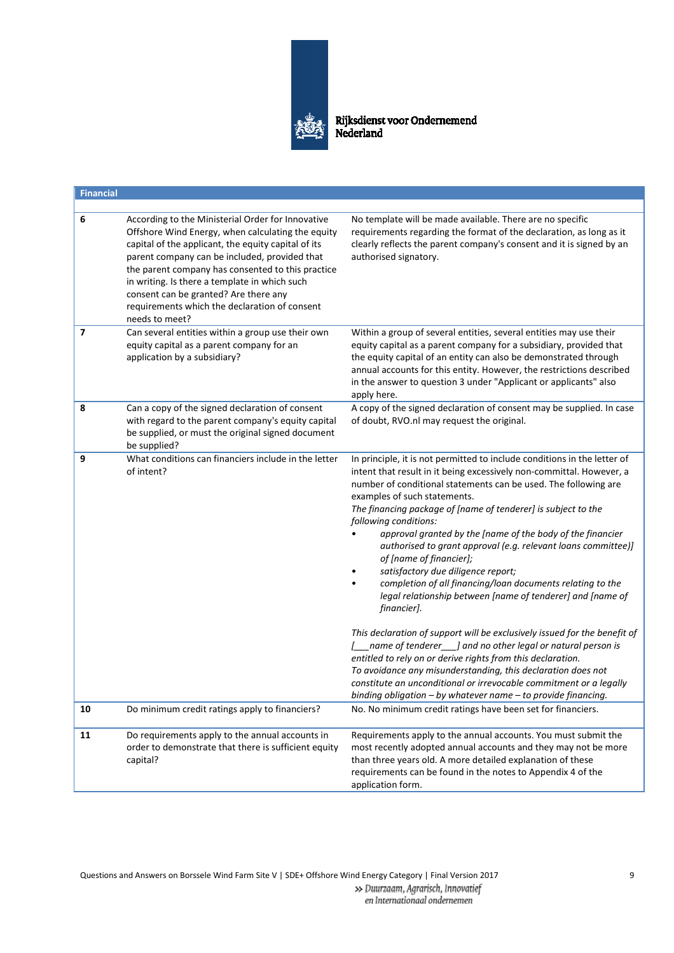

Rijksdienst voor Ondernemend<br>Nederland

| <b>Financial</b> |                                                                                                                                                                                                                                                                                                                                                                                                                                  |                                                                                                                                                                                                                                                                                                                                                                                                                                                                                                                                                                                                                                                                                                                                                                                                                                                                                                                                                                                                                                                                                                             |
|------------------|----------------------------------------------------------------------------------------------------------------------------------------------------------------------------------------------------------------------------------------------------------------------------------------------------------------------------------------------------------------------------------------------------------------------------------|-------------------------------------------------------------------------------------------------------------------------------------------------------------------------------------------------------------------------------------------------------------------------------------------------------------------------------------------------------------------------------------------------------------------------------------------------------------------------------------------------------------------------------------------------------------------------------------------------------------------------------------------------------------------------------------------------------------------------------------------------------------------------------------------------------------------------------------------------------------------------------------------------------------------------------------------------------------------------------------------------------------------------------------------------------------------------------------------------------------|
|                  |                                                                                                                                                                                                                                                                                                                                                                                                                                  |                                                                                                                                                                                                                                                                                                                                                                                                                                                                                                                                                                                                                                                                                                                                                                                                                                                                                                                                                                                                                                                                                                             |
| 6                | According to the Ministerial Order for Innovative<br>Offshore Wind Energy, when calculating the equity<br>capital of the applicant, the equity capital of its<br>parent company can be included, provided that<br>the parent company has consented to this practice<br>in writing. Is there a template in which such<br>consent can be granted? Are there any<br>requirements which the declaration of consent<br>needs to meet? | No template will be made available. There are no specific<br>requirements regarding the format of the declaration, as long as it<br>clearly reflects the parent company's consent and it is signed by an<br>authorised signatory.                                                                                                                                                                                                                                                                                                                                                                                                                                                                                                                                                                                                                                                                                                                                                                                                                                                                           |
| 7                | Can several entities within a group use their own<br>equity capital as a parent company for an<br>application by a subsidiary?                                                                                                                                                                                                                                                                                                   | Within a group of several entities, several entities may use their<br>equity capital as a parent company for a subsidiary, provided that<br>the equity capital of an entity can also be demonstrated through<br>annual accounts for this entity. However, the restrictions described<br>in the answer to question 3 under "Applicant or applicants" also<br>apply here.                                                                                                                                                                                                                                                                                                                                                                                                                                                                                                                                                                                                                                                                                                                                     |
| 8                | Can a copy of the signed declaration of consent<br>with regard to the parent company's equity capital<br>be supplied, or must the original signed document<br>be supplied?                                                                                                                                                                                                                                                       | A copy of the signed declaration of consent may be supplied. In case<br>of doubt, RVO.nl may request the original.                                                                                                                                                                                                                                                                                                                                                                                                                                                                                                                                                                                                                                                                                                                                                                                                                                                                                                                                                                                          |
| 9                | What conditions can financiers include in the letter<br>of intent?                                                                                                                                                                                                                                                                                                                                                               | In principle, it is not permitted to include conditions in the letter of<br>intent that result in it being excessively non-committal. However, a<br>number of conditional statements can be used. The following are<br>examples of such statements.<br>The financing package of [name of tenderer] is subject to the<br>following conditions:<br>approval granted by the [name of the body of the financier<br>authorised to grant approval (e.g. relevant loans committee)]<br>of [name of financier];<br>satisfactory due diligence report;<br>completion of all financing/loan documents relating to the<br>legal relationship between [name of tenderer] and [name of<br>financier].<br>This declaration of support will be exclusively issued for the benefit of<br>name of tenderer___] and no other legal or natural person is<br>entitled to rely on or derive rights from this declaration.<br>To avoidance any misunderstanding, this declaration does not<br>constitute an unconditional or irrevocable commitment or a legally<br>binding obligation - by whatever name - to provide financing. |
| 10               | Do minimum credit ratings apply to financiers?                                                                                                                                                                                                                                                                                                                                                                                   | No. No minimum credit ratings have been set for financiers.                                                                                                                                                                                                                                                                                                                                                                                                                                                                                                                                                                                                                                                                                                                                                                                                                                                                                                                                                                                                                                                 |
| 11               | Do requirements apply to the annual accounts in<br>order to demonstrate that there is sufficient equity<br>capital?                                                                                                                                                                                                                                                                                                              | Requirements apply to the annual accounts. You must submit the<br>most recently adopted annual accounts and they may not be more<br>than three years old. A more detailed explanation of these<br>requirements can be found in the notes to Appendix 4 of the<br>application form.                                                                                                                                                                                                                                                                                                                                                                                                                                                                                                                                                                                                                                                                                                                                                                                                                          |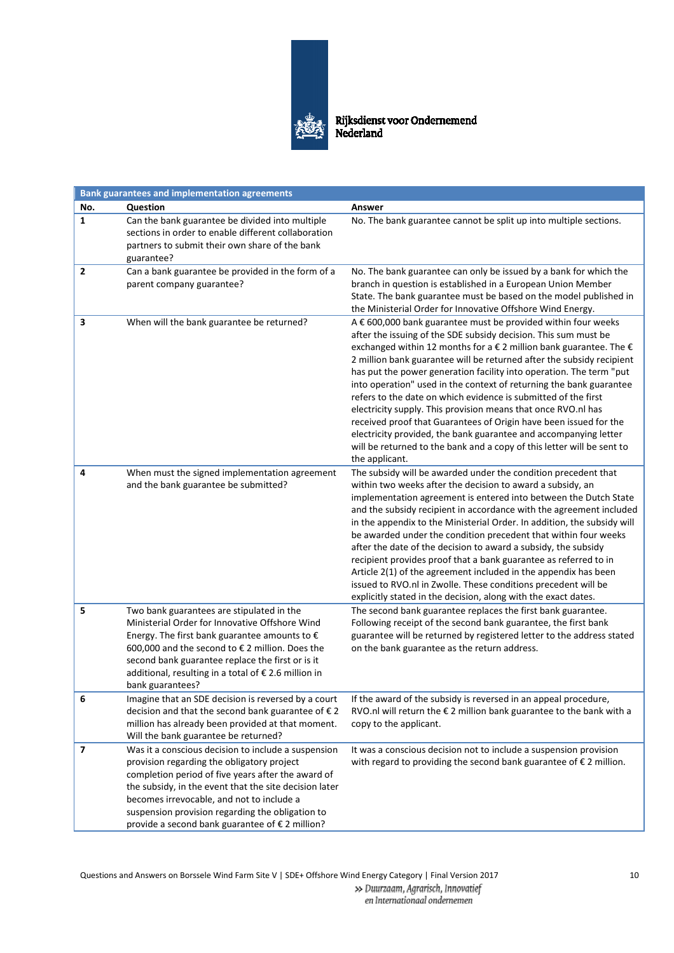

| <b>Bank guarantees and implementation agreements</b> |                                                                                                                                                                                                                                                                                                                                                                       |                                                                                                                                                                                                                                                                                                                                                                                                                                                                                                                                                                                                                                                                                                                                                                                                                         |  |
|------------------------------------------------------|-----------------------------------------------------------------------------------------------------------------------------------------------------------------------------------------------------------------------------------------------------------------------------------------------------------------------------------------------------------------------|-------------------------------------------------------------------------------------------------------------------------------------------------------------------------------------------------------------------------------------------------------------------------------------------------------------------------------------------------------------------------------------------------------------------------------------------------------------------------------------------------------------------------------------------------------------------------------------------------------------------------------------------------------------------------------------------------------------------------------------------------------------------------------------------------------------------------|--|
| No.                                                  | Question                                                                                                                                                                                                                                                                                                                                                              | Answer                                                                                                                                                                                                                                                                                                                                                                                                                                                                                                                                                                                                                                                                                                                                                                                                                  |  |
| $\mathbf{1}$                                         | Can the bank guarantee be divided into multiple<br>sections in order to enable different collaboration<br>partners to submit their own share of the bank<br>guarantee?                                                                                                                                                                                                | No. The bank guarantee cannot be split up into multiple sections.                                                                                                                                                                                                                                                                                                                                                                                                                                                                                                                                                                                                                                                                                                                                                       |  |
| 2                                                    | Can a bank guarantee be provided in the form of a<br>parent company guarantee?                                                                                                                                                                                                                                                                                        | No. The bank guarantee can only be issued by a bank for which the<br>branch in question is established in a European Union Member<br>State. The bank guarantee must be based on the model published in<br>the Ministerial Order for Innovative Offshore Wind Energy.                                                                                                                                                                                                                                                                                                                                                                                                                                                                                                                                                    |  |
| 3                                                    | When will the bank guarantee be returned?                                                                                                                                                                                                                                                                                                                             | A € 600,000 bank guarantee must be provided within four weeks<br>after the issuing of the SDE subsidy decision. This sum must be<br>exchanged within 12 months for a $\epsilon$ 2 million bank guarantee. The $\epsilon$<br>2 million bank guarantee will be returned after the subsidy recipient<br>has put the power generation facility into operation. The term "put<br>into operation" used in the context of returning the bank guarantee<br>refers to the date on which evidence is submitted of the first<br>electricity supply. This provision means that once RVO.nl has<br>received proof that Guarantees of Origin have been issued for the<br>electricity provided, the bank guarantee and accompanying letter<br>will be returned to the bank and a copy of this letter will be sent to<br>the applicant. |  |
| 4                                                    | When must the signed implementation agreement<br>and the bank guarantee be submitted?                                                                                                                                                                                                                                                                                 | The subsidy will be awarded under the condition precedent that<br>within two weeks after the decision to award a subsidy, an<br>implementation agreement is entered into between the Dutch State<br>and the subsidy recipient in accordance with the agreement included<br>in the appendix to the Ministerial Order. In addition, the subsidy will<br>be awarded under the condition precedent that within four weeks<br>after the date of the decision to award a subsidy, the subsidy<br>recipient provides proof that a bank guarantee as referred to in<br>Article 2(1) of the agreement included in the appendix has been<br>issued to RVO.nl in Zwolle. These conditions precedent will be<br>explicitly stated in the decision, along with the exact dates.                                                      |  |
| 5                                                    | Two bank guarantees are stipulated in the<br>Ministerial Order for Innovative Offshore Wind<br>Energy. The first bank guarantee amounts to $\epsilon$<br>600,000 and the second to € 2 million. Does the<br>second bank guarantee replace the first or is it<br>additional, resulting in a total of € 2.6 million in<br>bank guarantees?                              | The second bank guarantee replaces the first bank guarantee.<br>Following receipt of the second bank guarantee, the first bank<br>guarantee will be returned by registered letter to the address stated<br>on the bank guarantee as the return address.                                                                                                                                                                                                                                                                                                                                                                                                                                                                                                                                                                 |  |
| 6                                                    | Imagine that an SDE decision is reversed by a court<br>decision and that the second bank guarantee of €2<br>million has already been provided at that moment.<br>Will the bank guarantee be returned?                                                                                                                                                                 | If the award of the subsidy is reversed in an appeal procedure,<br>RVO.nl will return the $\epsilon$ 2 million bank guarantee to the bank with a<br>copy to the applicant.                                                                                                                                                                                                                                                                                                                                                                                                                                                                                                                                                                                                                                              |  |
| 7                                                    | Was it a conscious decision to include a suspension<br>provision regarding the obligatory project<br>completion period of five years after the award of<br>the subsidy, in the event that the site decision later<br>becomes irrevocable, and not to include a<br>suspension provision regarding the obligation to<br>provide a second bank guarantee of € 2 million? | It was a conscious decision not to include a suspension provision<br>with regard to providing the second bank guarantee of $\epsilon$ 2 million.                                                                                                                                                                                                                                                                                                                                                                                                                                                                                                                                                                                                                                                                        |  |